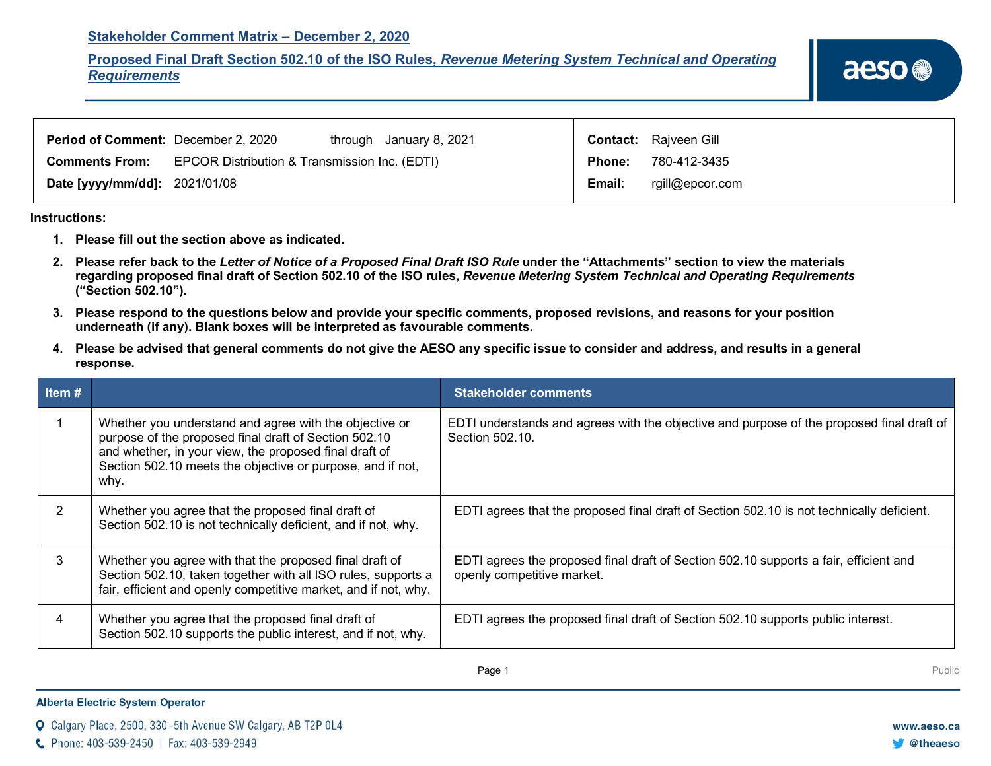## **Stakeholder Comment Matrix – December 2, 2020**

**Proposed Final Draft Section 502.10 of the ISO Rules,** *Revenue Metering System Technical and Operating Requirements*

| <b>Period of Comment: December 2, 2020</b> |                                               | through January 8, 2021 |               | <b>Contact:</b> Rajveen Gill |
|--------------------------------------------|-----------------------------------------------|-------------------------|---------------|------------------------------|
| <b>Comments From:</b>                      | EPCOR Distribution & Transmission Inc. (EDTI) |                         | <b>Phone:</b> | 780-412-3435                 |
| <b>Date [yyyy/mm/dd]: 2021/01/08</b>       |                                               |                         | Email:        | rgill@epcor.com              |

**Instructions:** 

- **1. Please fill out the section above as indicated.**
- **2. Please refer back to the** *Letter of Notice of a Proposed Final Draft ISO Rule* **under the "Attachments" section to view the materials regarding proposed final draft of Section 502.10 of the ISO rules,** *Revenue Metering System Technical and Operating Requirements* **("Section 502.10").**
- **3. Please respond to the questions below and provide your specific comments, proposed revisions, and reasons for your position underneath (if any). Blank boxes will be interpreted as favourable comments.**
- **4. Please be advised that general comments do not give the AESO any specific issue to consider and address, and results in a general response.**

| Item# |                                                                                                                                                                                                                                                 | <b>Stakeholder comments</b>                                                                                         |
|-------|-------------------------------------------------------------------------------------------------------------------------------------------------------------------------------------------------------------------------------------------------|---------------------------------------------------------------------------------------------------------------------|
|       | Whether you understand and agree with the objective or<br>purpose of the proposed final draft of Section 502.10<br>and whether, in your view, the proposed final draft of<br>Section 502.10 meets the objective or purpose, and if not,<br>why. | EDTI understands and agrees with the objective and purpose of the proposed final draft of<br>Section 502.10.        |
| 2     | Whether you agree that the proposed final draft of<br>Section 502.10 is not technically deficient, and if not, why.                                                                                                                             | EDTI agrees that the proposed final draft of Section 502.10 is not technically deficient.                           |
| 3     | Whether you agree with that the proposed final draft of<br>Section 502.10, taken together with all ISO rules, supports a<br>fair, efficient and openly competitive market, and if not, why.                                                     | EDTI agrees the proposed final draft of Section 502.10 supports a fair, efficient and<br>openly competitive market. |
| 4     | Whether you agree that the proposed final draft of<br>Section 502.10 supports the public interest, and if not, why.                                                                                                                             | EDTI agrees the proposed final draft of Section 502.10 supports public interest.                                    |

**Page 1** Public Research of the Maria Contract Research of the Maria Contract Research of the Public Research of the Public Research of the Maria Contract Research of the Maria Contract Research of the Maria Contract Resea

## **Alberta Electric System Operator**

Calgary Place, 2500, 330-5th Avenue SW Calgary, AB T2P 0L4

C Phone: 403-539-2450 | Fax: 403-539-2949